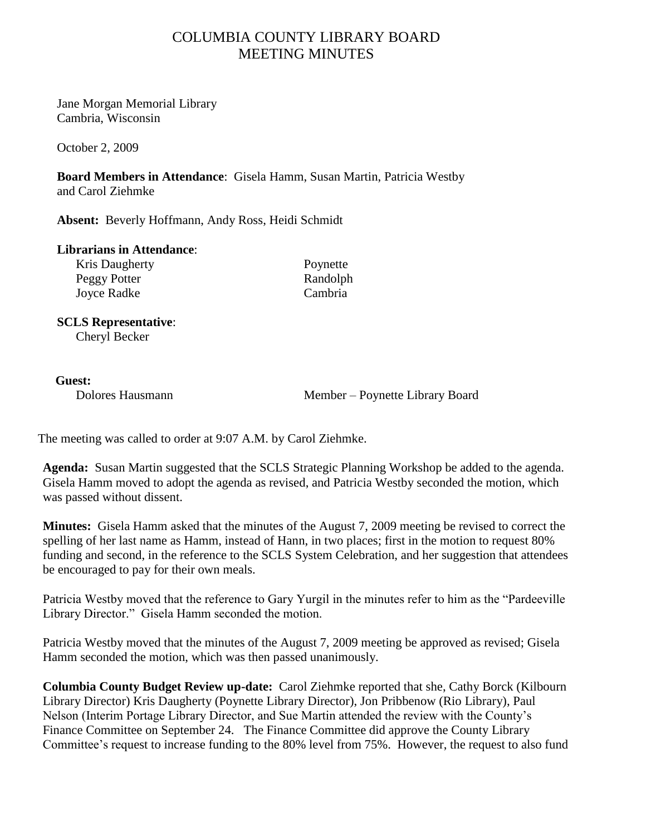## COLUMBIA COUNTY LIBRARY BOARD MEETING MINUTES

Jane Morgan Memorial Library Cambria, Wisconsin

October 2, 2009

**Board Members in Attendance**: Gisela Hamm, Susan Martin, Patricia Westby and Carol Ziehmke

**Absent:** Beverly Hoffmann, Andy Ross, Heidi Schmidt

## **Librarians in Attendance**:

Kris Daugherty Poynette Peggy Potter Randolph<br>
Iovee Radke Cambria Joyce Radke

## **SCLS Representative**: Cheryl Becker

## **Guest:**

Dolores Hausmann Member – Poynette Library Board

The meeting was called to order at 9:07 A.M. by Carol Ziehmke.

**Agenda:** Susan Martin suggested that the SCLS Strategic Planning Workshop be added to the agenda. Gisela Hamm moved to adopt the agenda as revised, and Patricia Westby seconded the motion, which was passed without dissent.

**Minutes:** Gisela Hamm asked that the minutes of the August 7, 2009 meeting be revised to correct the spelling of her last name as Hamm, instead of Hann, in two places; first in the motion to request 80% funding and second, in the reference to the SCLS System Celebration, and her suggestion that attendees be encouraged to pay for their own meals.

Patricia Westby moved that the reference to Gary Yurgil in the minutes refer to him as the "Pardeeville Library Director." Gisela Hamm seconded the motion.

Patricia Westby moved that the minutes of the August 7, 2009 meeting be approved as revised; Gisela Hamm seconded the motion, which was then passed unanimously.

**Columbia County Budget Review up-date:** Carol Ziehmke reported that she, Cathy Borck (Kilbourn Library Director) Kris Daugherty (Poynette Library Director), Jon Pribbenow (Rio Library), Paul Nelson (Interim Portage Library Director, and Sue Martin attended the review with the County"s Finance Committee on September 24. The Finance Committee did approve the County Library Committee's request to increase funding to the 80% level from 75%. However, the request to also fund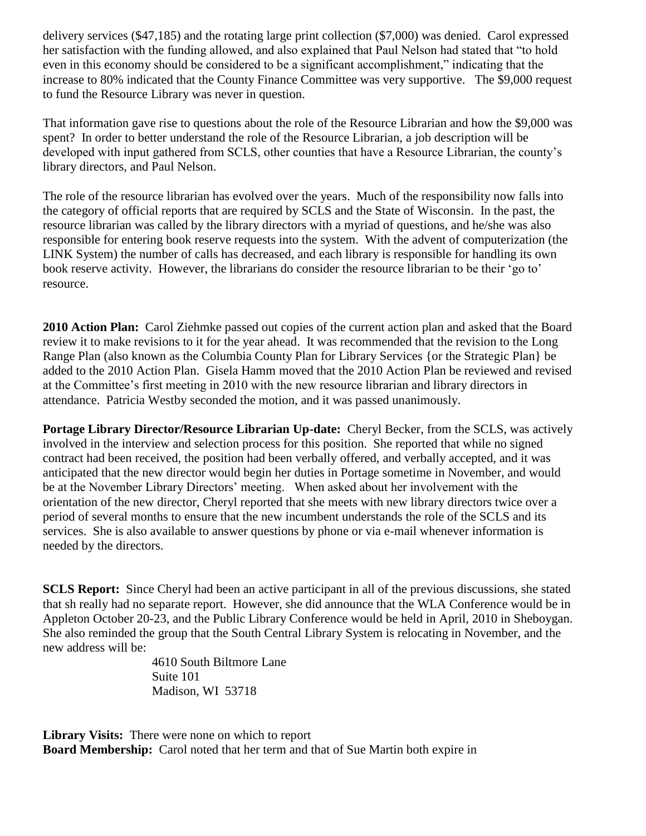delivery services (\$47,185) and the rotating large print collection (\$7,000) was denied. Carol expressed her satisfaction with the funding allowed, and also explained that Paul Nelson had stated that "to hold even in this economy should be considered to be a significant accomplishment," indicating that the increase to 80% indicated that the County Finance Committee was very supportive. The \$9,000 request to fund the Resource Library was never in question.

That information gave rise to questions about the role of the Resource Librarian and how the \$9,000 was spent? In order to better understand the role of the Resource Librarian, a job description will be developed with input gathered from SCLS, other counties that have a Resource Librarian, the county"s library directors, and Paul Nelson.

The role of the resource librarian has evolved over the years. Much of the responsibility now falls into the category of official reports that are required by SCLS and the State of Wisconsin. In the past, the resource librarian was called by the library directors with a myriad of questions, and he/she was also responsible for entering book reserve requests into the system. With the advent of computerization (the LINK System) the number of calls has decreased, and each library is responsible for handling its own book reserve activity. However, the librarians do consider the resource librarian to be their 'go to' resource.

**2010 Action Plan:** Carol Ziehmke passed out copies of the current action plan and asked that the Board review it to make revisions to it for the year ahead. It was recommended that the revision to the Long Range Plan (also known as the Columbia County Plan for Library Services {or the Strategic Plan} be added to the 2010 Action Plan. Gisela Hamm moved that the 2010 Action Plan be reviewed and revised at the Committee"s first meeting in 2010 with the new resource librarian and library directors in attendance. Patricia Westby seconded the motion, and it was passed unanimously.

**Portage Library Director/Resource Librarian Up-date:** Cheryl Becker, from the SCLS, was actively involved in the interview and selection process for this position. She reported that while no signed contract had been received, the position had been verbally offered, and verbally accepted, and it was anticipated that the new director would begin her duties in Portage sometime in November, and would be at the November Library Directors' meeting. When asked about her involvement with the orientation of the new director, Cheryl reported that she meets with new library directors twice over a period of several months to ensure that the new incumbent understands the role of the SCLS and its services. She is also available to answer questions by phone or via e-mail whenever information is needed by the directors.

**SCLS Report:** Since Cheryl had been an active participant in all of the previous discussions, she stated that sh really had no separate report. However, she did announce that the WLA Conference would be in Appleton October 20-23, and the Public Library Conference would be held in April, 2010 in Sheboygan. She also reminded the group that the South Central Library System is relocating in November, and the new address will be:

> 4610 South Biltmore Lane Suite 101 Madison, WI 53718

**Library Visits:** There were none on which to report **Board Membership:** Carol noted that her term and that of Sue Martin both expire in